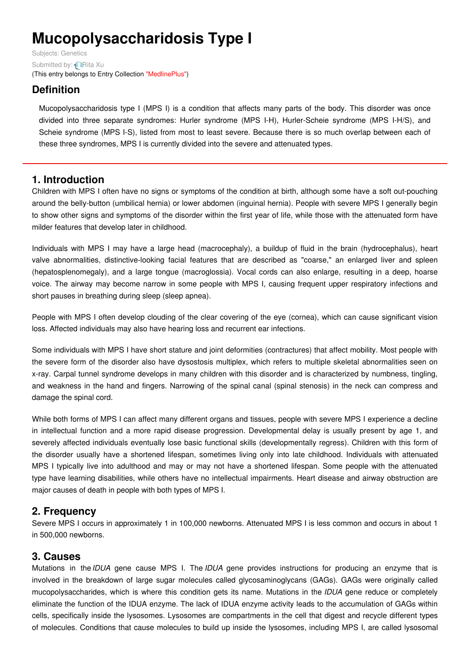# **Mucopolysaccharidosis Type I**

Subjects: [Genetics](https://encyclopedia.pub/item/subject/56) Submitted by: **[Rita](https://sciprofiles.com/profile/915637) Xu** (This entry belongs to Entry Collection ["MedlinePlus"](https://encyclopedia.pub/entry/collection/24))

# **Definition**

Mucopolysaccharidosis type I (MPS I) is a condition that affects many parts of the body. This disorder was once divided into three separate syndromes: Hurler syndrome (MPS I-H), Hurler-Scheie syndrome (MPS I-H/S), and Scheie syndrome (MPS I-S), listed from most to least severe. Because there is so much overlap between each of these three syndromes, MPS I is currently divided into the severe and attenuated types.

## **1. Introduction**

Children with MPS I often have no signs or symptoms of the condition at birth, although some have a soft out-pouching around the belly-button (umbilical hernia) or lower abdomen (inguinal hernia). People with severe MPS I generally begin to show other signs and symptoms of the disorder within the first year of life, while those with the attenuated form have milder features that develop later in childhood.

Individuals with MPS I may have a large head (macrocephaly), a buildup of fluid in the brain (hydrocephalus), heart valve abnormalities, distinctive-looking facial features that are described as "coarse," an enlarged liver and spleen (hepatosplenomegaly), and a large tongue (macroglossia). Vocal cords can also enlarge, resulting in a deep, hoarse voice. The airway may become narrow in some people with MPS I, causing frequent upper respiratory infections and short pauses in breathing during sleep (sleep apnea).

People with MPS I often develop clouding of the clear covering of the eye (cornea), which can cause significant vision loss. Affected individuals may also have hearing loss and recurrent ear infections.

Some individuals with MPS I have short stature and joint deformities (contractures) that affect mobility. Most people with the severe form of the disorder also have dysostosis multiplex, which refers to multiple skeletal abnormalities seen on x-ray. Carpal tunnel syndrome develops in many children with this disorder and is characterized by numbness, tingling, and weakness in the hand and fingers. Narrowing of the spinal canal (spinal stenosis) in the neck can compress and damage the spinal cord.

While both forms of MPS I can affect many different organs and tissues, people with severe MPS I experience a decline in intellectual function and a more rapid disease progression. Developmental delay is usually present by age 1, and severely affected individuals eventually lose basic functional skills (developmentally regress). Children with this form of the disorder usually have a shortened lifespan, sometimes living only into late childhood. Individuals with attenuated MPS I typically live into adulthood and may or may not have a shortened lifespan. Some people with the attenuated type have learning disabilities, while others have no intellectual impairments. Heart disease and airway obstruction are major causes of death in people with both types of MPS I.

## **2. Frequency**

Severe MPS I occurs in approximately 1 in 100,000 newborns. Attenuated MPS I is less common and occurs in about 1 in 500,000 newborns.

## **3. Causes**

Mutations in the *IDUA* gene cause MPS I. The *IDUA* gene provides instructions for producing an enzyme that is involved in the breakdown of large sugar molecules called glycosaminoglycans (GAGs). GAGs were originally called mucopolysaccharides, which is where this condition gets its name. Mutations in the *IDUA* gene reduce or completely eliminate the function of the IDUA enzyme. The lack of IDUA enzyme activity leads to the accumulation of GAGs within cells, specifically inside the lysosomes. Lysosomes are compartments in the cell that digest and recycle different types of molecules. Conditions that cause molecules to build up inside the lysosomes, including MPS I, are called lysosomal